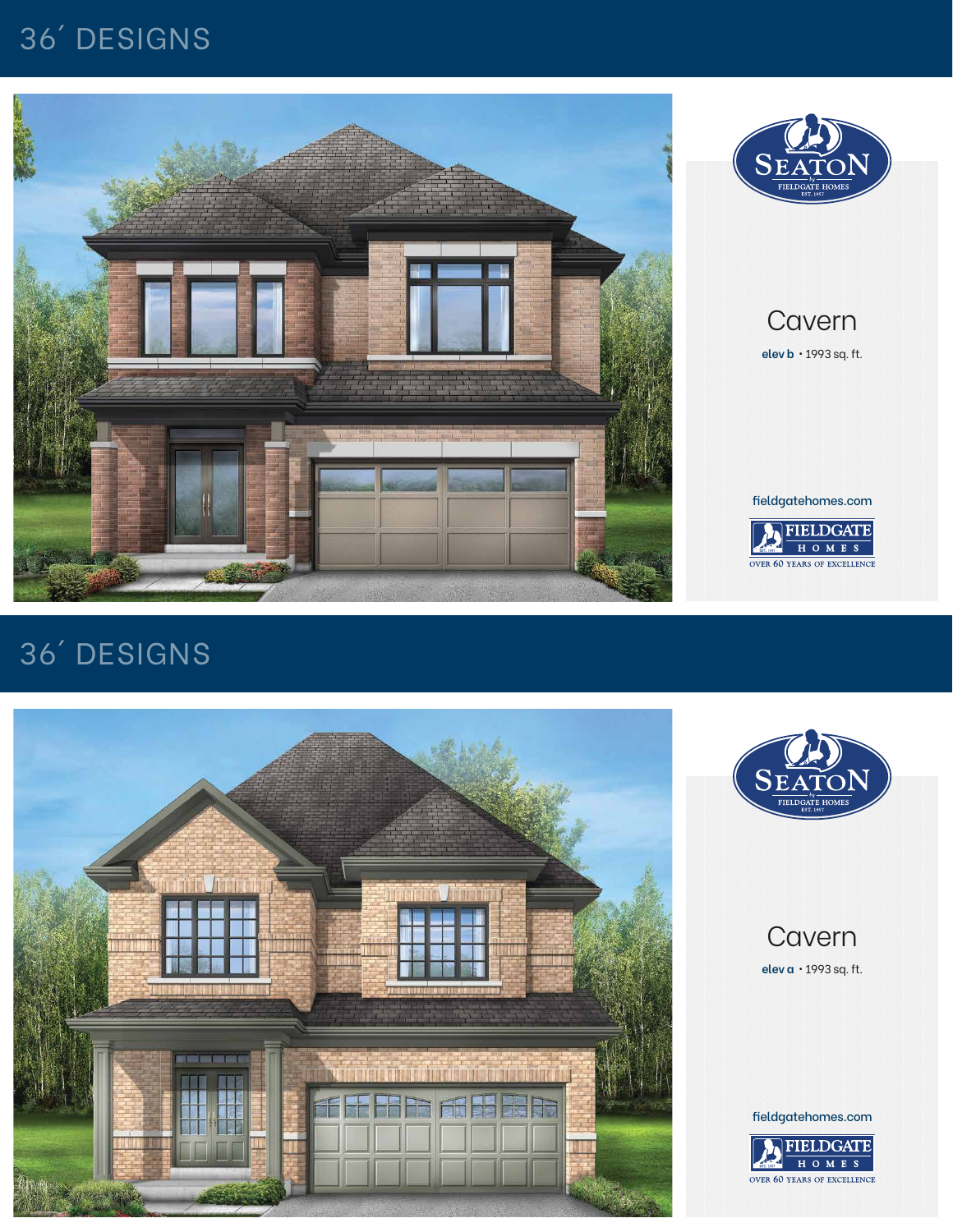## Cavern

**elev a** • 1993 sq. ft.

# 36´ DESIGNS





#### fieldgatehomes.com



### Cavern **elev b** • 1993 sq. ft.

## 36´ DESIGNS





fieldgatehomes.com